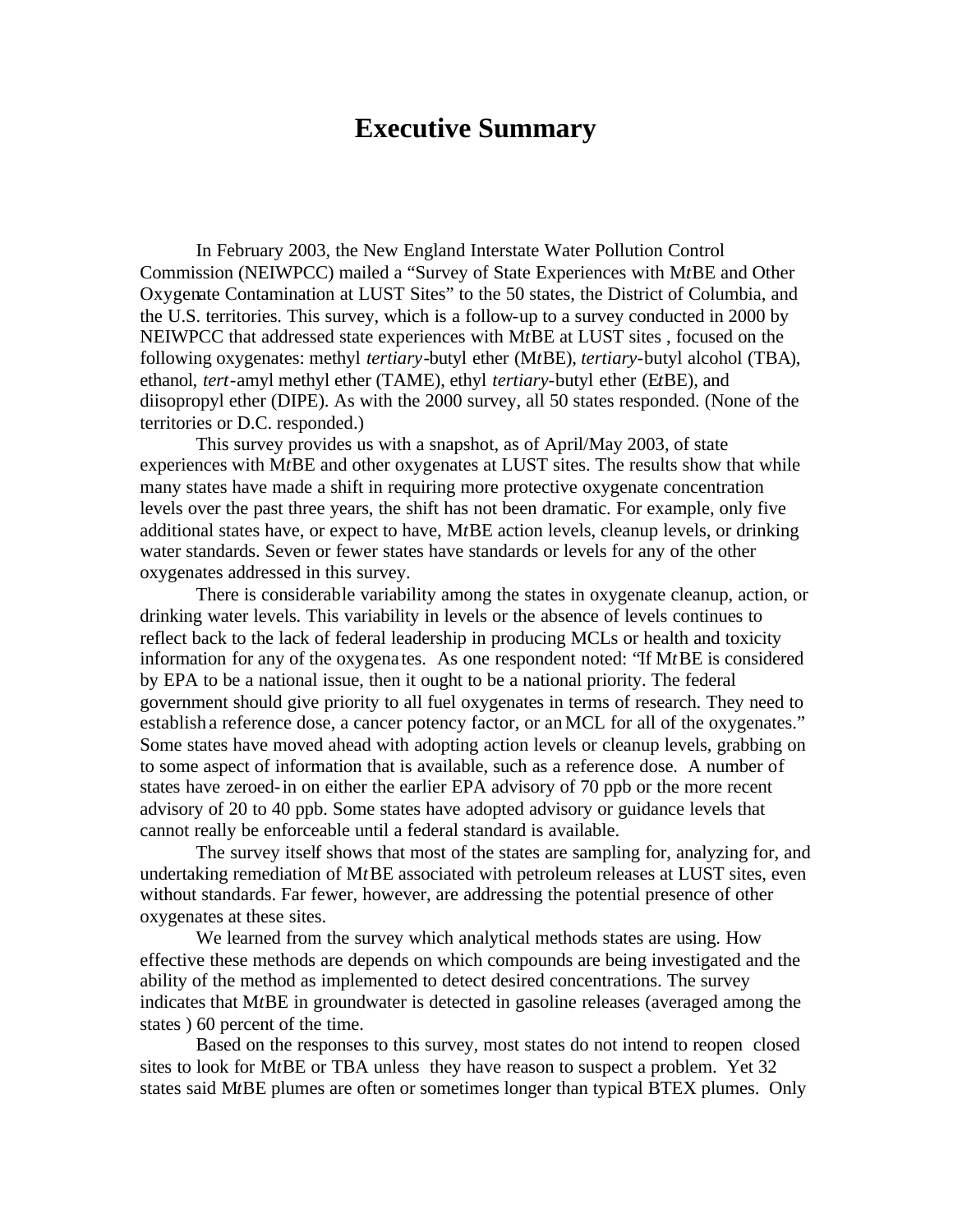## **Executive Summary**

In February 2003, the New England Interstate Water Pollution Control Commission (NEIWPCC) mailed a "Survey of State Experiences with M*t*BE and Other Oxygenate Contamination at LUST Sites" to the 50 states, the District of Columbia, and the U.S. territories. This survey, which is a follow-up to a survey conducted in 2000 by NEIWPCC that addressed state experiences with M*t*BE at LUST sites , focused on the following oxygenates: methyl *tertiary-*butyl ether (M*t*BE), *tertiary*-butyl alcohol (TBA), ethanol, *tert*-amyl methyl ether (TAME), ethyl *tertiary*-butyl ether (E*t*BE), and diisopropyl ether (DIPE). As with the 2000 survey, all 50 states responded. (None of the territories or D.C. responded.)

This survey provides us with a snapshot, as of April/May 2003, of state experiences with M*t*BE and other oxygenates at LUST sites. The results show that while many states have made a shift in requiring more protective oxygenate concentration levels over the past three years, the shift has not been dramatic. For example, only five additional states have, or expect to have, M*t*BE action levels, cleanup levels, or drinking water standards. Seven or fewer states have standards or levels for any of the other oxygenates addressed in this survey.

There is considerable variability among the states in oxygenate cleanup, action, or drinking water levels. This variability in levels or the absence of levels continues to reflect back to the lack of federal leadership in producing MCLs or health and toxicity information for any of the oxygena tes. As one respondent noted: "If M*t*BE is considered by EPA to be a national issue, then it ought to be a national priority. The federal government should give priority to all fuel oxygenates in terms of research. They need to establish a reference dose, a cancer potency factor, or an MCL for all of the oxygenates." Some states have moved ahead with adopting action levels or cleanup levels, grabbing on to some aspect of information that is available, such as a reference dose. A number of states have zeroed-in on either the earlier EPA advisory of 70 ppb or the more recent advisory of 20 to 40 ppb. Some states have adopted advisory or guidance levels that cannot really be enforceable until a federal standard is available.

The survey itself shows that most of the states are sampling for, analyzing for, and undertaking remediation of M*t*BE associated with petroleum releases at LUST sites, even without standards. Far fewer, however, are addressing the potential presence of other oxygenates at these sites.

We learned from the survey which analytical methods states are using. How effective these methods are depends on which compounds are being investigated and the ability of the method as implemented to detect desired concentrations. The survey indicates that M*t*BE in groundwater is detected in gasoline releases (averaged among the states ) 60 percent of the time.

Based on the responses to this survey, most states do not intend to reopen closed sites to look for M*t*BE or TBA unless they have reason to suspect a problem. Yet 32 states said M*t*BE plumes are often or sometimes longer than typical BTEX plumes. Only